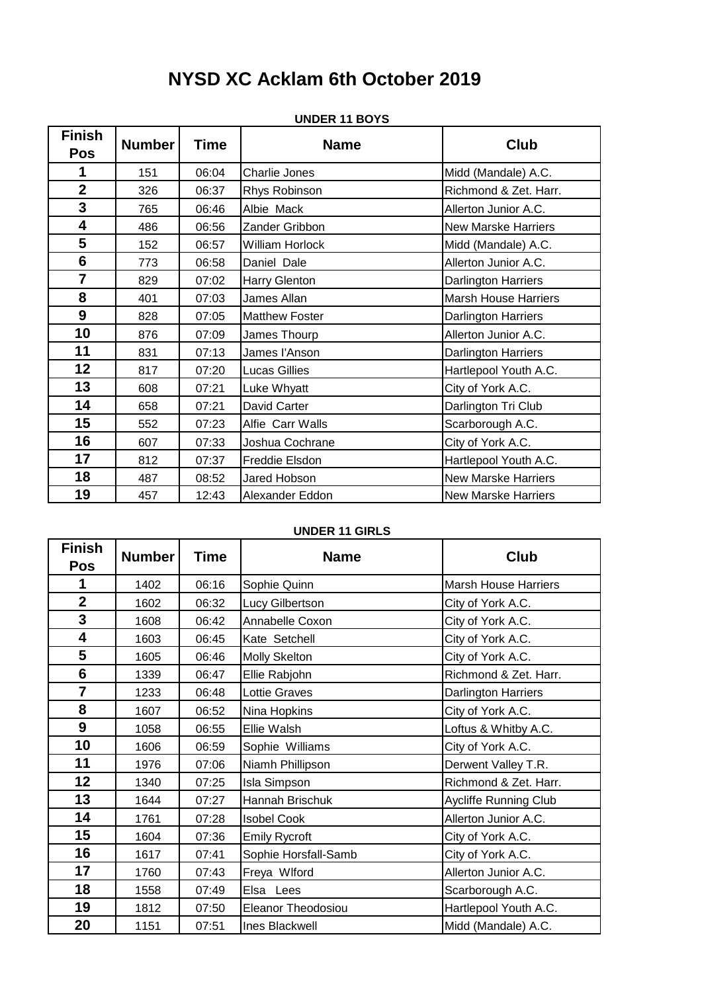# **NYSD XC Acklam 6th October 2019**

| <b>Finish</b><br>Pos | <b>Number</b> | <b>Time</b> | <b>Name</b>            | <b>Club</b>                 |
|----------------------|---------------|-------------|------------------------|-----------------------------|
| 1                    | 151           | 06:04       | Charlie Jones          | Midd (Mandale) A.C.         |
| $\overline{2}$       | 326           | 06:37       | Rhys Robinson          | Richmond & Zet. Harr.       |
| $\mathbf{3}$         | 765           | 06:46       | Albie Mack             | Allerton Junior A.C.        |
| 4                    | 486           | 06:56       | Zander Gribbon         | <b>New Marske Harriers</b>  |
| 5                    | 152           | 06:57       | <b>William Horlock</b> | Midd (Mandale) A.C.         |
| $6\phantom{1}$       | 773           | 06:58       | Daniel Dale            | Allerton Junior A.C.        |
| 7                    | 829           | 07:02       | Harry Glenton          | Darlington Harriers         |
| 8                    | 401           | 07:03       | James Allan            | <b>Marsh House Harriers</b> |
| 9                    | 828           | 07:05       | <b>Matthew Foster</b>  | Darlington Harriers         |
| 10                   | 876           | 07:09       | James Thourp           | Allerton Junior A.C.        |
| 11                   | 831           | 07:13       | James l'Anson          | Darlington Harriers         |
| 12                   | 817           | 07:20       | <b>Lucas Gillies</b>   | Hartlepool Youth A.C.       |
| 13                   | 608           | 07:21       | Luke Whyatt            | City of York A.C.           |
| 14                   | 658           | 07:21       | David Carter           | Darlington Tri Club         |
| 15                   | 552           | 07:23       | Alfie Carr Walls       | Scarborough A.C.            |
| 16                   | 607           | 07:33       | Joshua Cochrane        | City of York A.C.           |
| 17                   | 812           | 07:37       | Freddie Elsdon         | Hartlepool Youth A.C.       |
| 18                   | 487           | 08:52       | Jared Hobson           | <b>New Marske Harriers</b>  |
| 19                   | 457           | 12:43       | Alexander Eddon        | <b>New Marske Harriers</b>  |

#### **UNDER 11 BOYS**

## **UNDER 11 GIRLS**

| <b>Finish</b><br><b>Pos</b> | <b>Number</b> | Time  | <b>Name</b>          | <b>Club</b>                  |
|-----------------------------|---------------|-------|----------------------|------------------------------|
| 1                           | 1402          | 06:16 | Sophie Quinn         | <b>Marsh House Harriers</b>  |
| $\overline{2}$              | 1602          | 06:32 | Lucy Gilbertson      | City of York A.C.            |
| 3                           | 1608          | 06:42 | Annabelle Coxon      | City of York A.C.            |
| 4                           | 1603          | 06:45 | Kate Setchell        | City of York A.C.            |
| 5                           | 1605          | 06:46 | <b>Molly Skelton</b> | City of York A.C.            |
| 6                           | 1339          | 06:47 | Ellie Rabjohn        | Richmond & Zet. Harr.        |
| $\overline{7}$              | 1233          | 06:48 | <b>Lottie Graves</b> | Darlington Harriers          |
| 8                           | 1607          | 06:52 | Nina Hopkins         | City of York A.C.            |
| 9                           | 1058          | 06:55 | Ellie Walsh          | Loftus & Whitby A.C.         |
| 10                          | 1606          | 06:59 | Sophie Williams      | City of York A.C.            |
| 11                          | 1976          | 07:06 | Niamh Phillipson     | Derwent Valley T.R.          |
| 12                          | 1340          | 07:25 | Isla Simpson         | Richmond & Zet. Harr.        |
| 13                          | 1644          | 07:27 | Hannah Brischuk      | <b>Aycliffe Running Club</b> |
| 14                          | 1761          | 07:28 | <b>Isobel Cook</b>   | Allerton Junior A.C.         |
| 15                          | 1604          | 07:36 | <b>Emily Rycroft</b> | City of York A.C.            |
| 16                          | 1617          | 07:41 | Sophie Horsfall-Samb | City of York A.C.            |
| 17                          | 1760          | 07:43 | Freya Wlford         | Allerton Junior A.C.         |
| 18                          | 1558          | 07:49 | Elsa Lees            | Scarborough A.C.             |
| 19                          | 1812          | 07:50 | Eleanor Theodosiou   | Hartlepool Youth A.C.        |
| 20                          | 1151          | 07:51 | Ines Blackwell       | Midd (Mandale) A.C.          |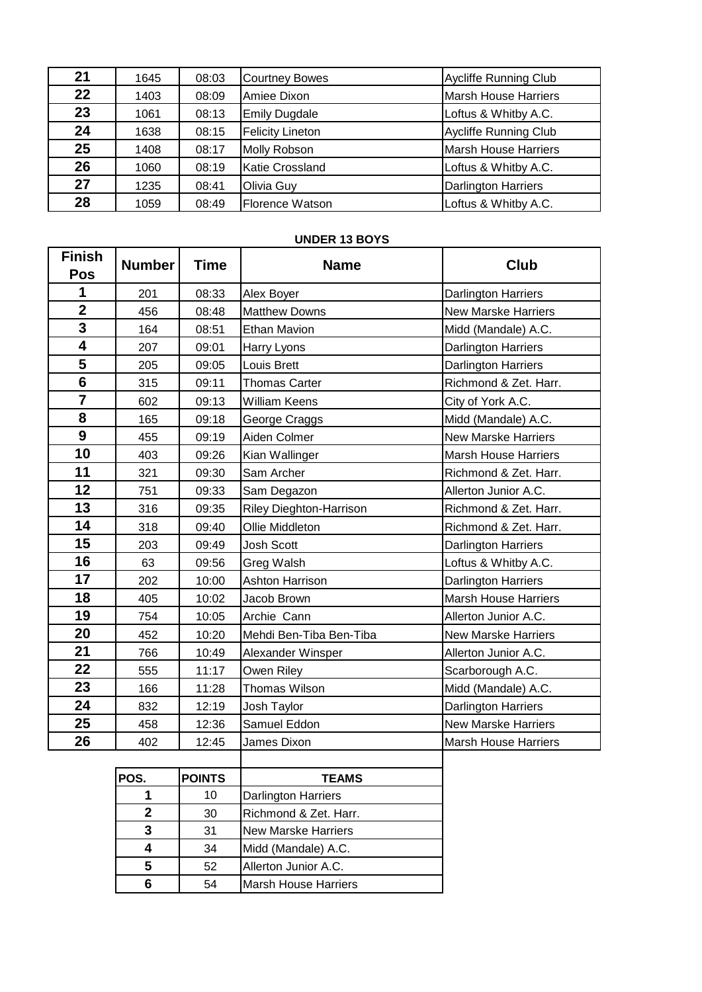| 21 | 1645 | 08:03 | <b>Courtney Bowes</b>   | <b>Aycliffe Running Club</b> |
|----|------|-------|-------------------------|------------------------------|
| 22 | 1403 | 08:09 | Amiee Dixon             | <b>Marsh House Harriers</b>  |
| 23 | 1061 | 08:13 | <b>Emily Dugdale</b>    | Loftus & Whitby A.C.         |
| 24 | 1638 | 08:15 | <b>Felicity Lineton</b> | <b>Aycliffe Running Club</b> |
| 25 | 1408 | 08:17 | Molly Robson            | <b>Marsh House Harriers</b>  |
| 26 | 1060 | 08:19 | <b>Katie Crossland</b>  | Loftus & Whitby A.C.         |
| 27 | 1235 | 08:41 | Olivia Guy              | <b>Darlington Harriers</b>   |
| 28 | 1059 | 08:49 | Florence Watson         | Loftus & Whitby A.C.         |

#### **UNDER 13 BOYS**

| <b>Finish</b><br>Pos | <b>Number</b> | <b>Time</b> | <b>Name</b>                    | <b>Club</b>                 |
|----------------------|---------------|-------------|--------------------------------|-----------------------------|
| 1                    | 201           | 08:33       | Alex Boyer                     | <b>Darlington Harriers</b>  |
| $\overline{2}$       | 456           | 08:48       | <b>Matthew Downs</b>           | <b>New Marske Harriers</b>  |
| 3                    | 164           | 08:51       | <b>Ethan Mavion</b>            | Midd (Mandale) A.C.         |
| 4                    | 207           | 09:01       | Harry Lyons                    | Darlington Harriers         |
| 5                    | 205           | 09:05       | Louis Brett                    | <b>Darlington Harriers</b>  |
| $6\phantom{a}$       | 315           | 09:11       | <b>Thomas Carter</b>           | Richmond & Zet. Harr.       |
| $\overline{7}$       | 602           | 09:13       | <b>William Keens</b>           | City of York A.C.           |
| 8                    | 165           | 09:18       | George Craggs                  | Midd (Mandale) A.C.         |
| 9                    | 455           | 09:19       | Aiden Colmer                   | <b>New Marske Harriers</b>  |
| 10                   | 403           | 09:26       | Kian Wallinger                 | <b>Marsh House Harriers</b> |
| 11                   | 321           | 09:30       | Sam Archer                     | Richmond & Zet. Harr.       |
| 12                   | 751           | 09:33       | Sam Degazon                    | Allerton Junior A.C.        |
| 13                   | 316           | 09:35       | <b>Riley Dieghton-Harrison</b> | Richmond & Zet. Harr.       |
| 14                   | 318           | 09:40       | Ollie Middleton                | Richmond & Zet. Harr.       |
| 15                   | 203           | 09:49       | <b>Josh Scott</b>              | Darlington Harriers         |
| 16                   | 63            | 09:56       | Greg Walsh                     | Loftus & Whitby A.C.        |
| 17                   | 202           | 10:00       | <b>Ashton Harrison</b>         | Darlington Harriers         |
| 18                   | 405           | 10:02       | Jacob Brown                    | <b>Marsh House Harriers</b> |
| 19                   | 754           | 10:05       | Archie Cann                    | Allerton Junior A.C.        |
| 20                   | 452           | 10:20       | Mehdi Ben-Tiba Ben-Tiba        | <b>New Marske Harriers</b>  |
| 21                   | 766           | 10:49       | Alexander Winsper              | Allerton Junior A.C.        |
| 22                   | 555           | 11:17       | Owen Riley                     | Scarborough A.C.            |
| 23                   | 166           | 11:28       | Thomas Wilson                  | Midd (Mandale) A.C.         |
| 24                   | 832           | 12:19       | Josh Taylor                    | <b>Darlington Harriers</b>  |
| 25                   | 458           | 12:36       | Samuel Eddon                   | <b>New Marske Harriers</b>  |
| 26                   | 402           | 12:45       | James Dixon                    | <b>Marsh House Harriers</b> |
|                      |               |             |                                |                             |

| POS. | <b>POINTS</b> | <b>TEAMS</b>                |
|------|---------------|-----------------------------|
|      | 10            | <b>Darlington Harriers</b>  |
|      | 30            | Richmond & Zet. Harr.       |
|      | 31            | <b>New Marske Harriers</b>  |
|      | 34            | Midd (Mandale) A.C.         |
|      | 52            | Allerton Junior A.C.        |
|      | 54            | <b>Marsh House Harriers</b> |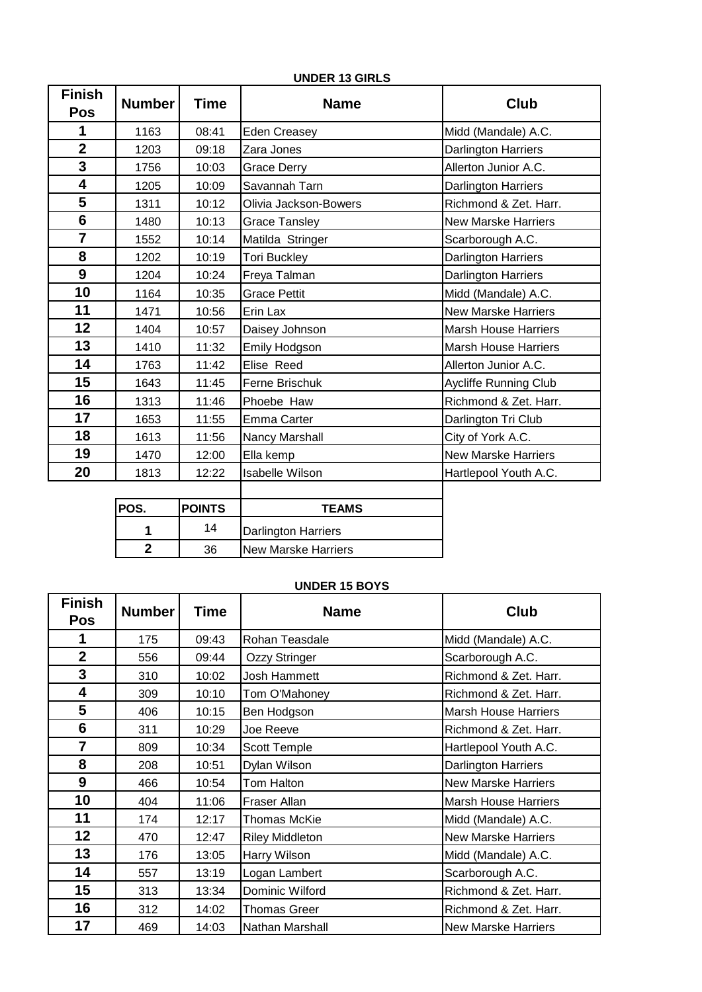| <b>Finish</b><br><b>Pos</b> | <b>Number</b>           | <b>Time</b>   | <b>Name</b>                | <b>Club</b>                  |
|-----------------------------|-------------------------|---------------|----------------------------|------------------------------|
| 1                           | 1163                    | 08:41         | <b>Eden Creasey</b>        | Midd (Mandale) A.C.          |
| $\overline{\mathbf{2}}$     | 1203                    | 09:18         | Zara Jones                 | Darlington Harriers          |
| $\mathbf{3}$                | 1756                    | 10:03         | <b>Grace Derry</b>         | Allerton Junior A.C.         |
| 4                           | 1205                    | 10:09         | Savannah Tarn              | Darlington Harriers          |
| 5                           | 1311                    | 10:12         | Olivia Jackson-Bowers      | Richmond & Zet. Harr.        |
| $6\phantom{1}$              | 1480                    | 10:13         | <b>Grace Tansley</b>       | <b>New Marske Harriers</b>   |
| $\overline{7}$              | 1552                    | 10:14         | Matilda Stringer           | Scarborough A.C.             |
| 8                           | 1202                    | 10:19         | <b>Tori Buckley</b>        | <b>Darlington Harriers</b>   |
| $\boldsymbol{9}$            | 1204                    | 10:24         | Freya Talman               | Darlington Harriers          |
| 10                          | 1164                    | 10:35         | <b>Grace Pettit</b>        | Midd (Mandale) A.C.          |
| 11                          | 1471                    | 10:56         | Erin Lax                   | <b>New Marske Harriers</b>   |
| 12                          | 1404                    | 10:57         | Daisey Johnson             | <b>Marsh House Harriers</b>  |
| 13                          | 1410                    | 11:32         | <b>Emily Hodgson</b>       | <b>Marsh House Harriers</b>  |
| 14                          | 1763                    | 11:42         | Elise Reed                 | Allerton Junior A.C.         |
| 15                          | 1643                    | 11:45         | Ferne Brischuk             | <b>Aycliffe Running Club</b> |
| 16                          | 1313                    | 11:46         | Phoebe Haw                 | Richmond & Zet. Harr.        |
| 17                          | 1653                    | 11:55         | <b>Emma Carter</b>         | Darlington Tri Club          |
| 18                          | 1613                    | 11:56         | Nancy Marshall             | City of York A.C.            |
| 19                          | 1470                    | 12:00         | Ella kemp                  | <b>New Marske Harriers</b>   |
| 20                          | 1813                    | 12:22         | <b>Isabelle Wilson</b>     | Hartlepool Youth A.C.        |
|                             |                         |               |                            |                              |
|                             | POS.                    | <b>POINTS</b> | <b>TEAMS</b>               |                              |
|                             | 1                       | 14            | Darlington Harriers        |                              |
|                             | $\overline{\mathbf{2}}$ | 36            | <b>New Marske Harriers</b> |                              |

### **UNDER 13 GIRLS**

#### **UNDER 15 BOYS**

| <b>Finish</b><br>Pos | <b>Number</b> | <b>Time</b> | <b>Name</b>            | <b>Club</b>                 |
|----------------------|---------------|-------------|------------------------|-----------------------------|
| 1                    | 175           | 09:43       | Rohan Teasdale         | Midd (Mandale) A.C.         |
| $\overline{2}$       | 556           | 09:44       | Ozzy Stringer          | Scarborough A.C.            |
| 3                    | 310           | 10:02       | Josh Hammett           | Richmond & Zet. Harr.       |
| 4                    | 309           | 10:10       | Tom O'Mahoney          | Richmond & Zet. Harr.       |
| 5                    | 406           | 10:15       | Ben Hodgson            | <b>Marsh House Harriers</b> |
| 6                    | 311           | 10:29       | Joe Reeve              | Richmond & Zet. Harr.       |
| $\overline{7}$       | 809           | 10:34       | Scott Temple           | Hartlepool Youth A.C.       |
| 8                    | 208           | 10:51       | Dylan Wilson           | <b>Darlington Harriers</b>  |
| 9                    | 466           | 10:54       | Tom Halton             | <b>New Marske Harriers</b>  |
| 10                   | 404           | 11:06       | Fraser Allan           | <b>Marsh House Harriers</b> |
| 11                   | 174           | 12:17       | Thomas McKie           | Midd (Mandale) A.C.         |
| 12                   | 470           | 12:47       | <b>Riley Middleton</b> | <b>New Marske Harriers</b>  |
| 13                   | 176           | 13:05       | Harry Wilson           | Midd (Mandale) A.C.         |
| 14                   | 557           | 13:19       | Logan Lambert          | Scarborough A.C.            |
| 15                   | 313           | 13:34       | Dominic Wilford        | Richmond & Zet. Harr.       |
| 16                   | 312           | 14:02       | <b>Thomas Greer</b>    | Richmond & Zet. Harr.       |
| 17                   | 469           | 14:03       | Nathan Marshall        | <b>New Marske Harriers</b>  |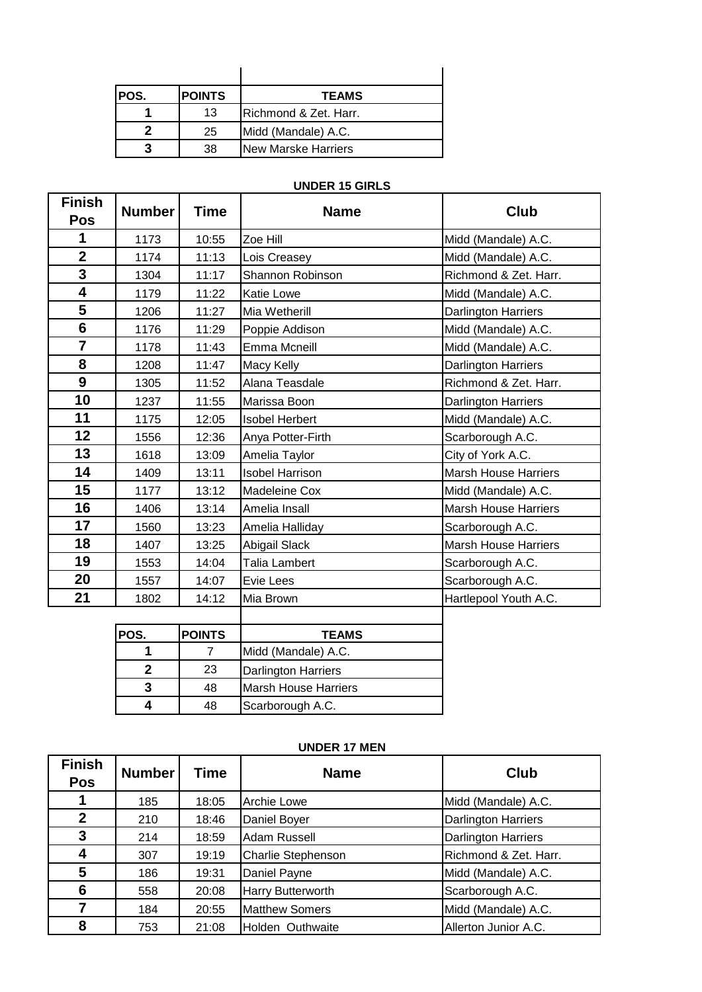| POS. | <b>POINTS</b> | <b>TEAMS</b>          |
|------|---------------|-----------------------|
|      | 13            | Richmond & Zet. Harr. |
|      | 25            | Midd (Mandale) A.C.   |
|      | 38            | New Marske Harriers   |

#### **UNDER 15 GIRLS**

| <b>Finish</b><br><b>Pos</b> | <b>Number</b> | Time  | <b>Name</b>            | Club                        |
|-----------------------------|---------------|-------|------------------------|-----------------------------|
| 1                           | 1173          | 10:55 | Zoe Hill               | Midd (Mandale) A.C.         |
| $\overline{2}$              | 1174          | 11:13 | Lois Creasey           | Midd (Mandale) A.C.         |
| 3                           | 1304          | 11:17 | Shannon Robinson       | Richmond & Zet. Harr.       |
| 4                           | 1179          | 11:22 | <b>Katie Lowe</b>      | Midd (Mandale) A.C.         |
| 5                           | 1206          | 11:27 | Mia Wetherill          | Darlington Harriers         |
| 6                           | 1176          | 11:29 | Poppie Addison         | Midd (Mandale) A.C.         |
| $\overline{7}$              | 1178          | 11:43 | Emma Mcneill           | Midd (Mandale) A.C.         |
| 8                           | 1208          | 11:47 | Macy Kelly             | Darlington Harriers         |
| 9                           | 1305          | 11:52 | Alana Teasdale         | Richmond & Zet. Harr.       |
| 10                          | 1237          | 11:55 | Marissa Boon           | Darlington Harriers         |
| 11                          | 1175          | 12:05 | <b>Isobel Herbert</b>  | Midd (Mandale) A.C.         |
| 12                          | 1556          | 12:36 | Anya Potter-Firth      | Scarborough A.C.            |
| 13                          | 1618          | 13:09 | Amelia Taylor          | City of York A.C.           |
| 14                          | 1409          | 13:11 | <b>Isobel Harrison</b> | <b>Marsh House Harriers</b> |
| 15                          | 1177          | 13:12 | <b>Madeleine Cox</b>   | Midd (Mandale) A.C.         |
| 16                          | 1406          | 13:14 | Amelia Insall          | <b>Marsh House Harriers</b> |
| 17                          | 1560          | 13:23 | Amelia Halliday        | Scarborough A.C.            |
| 18                          | 1407          | 13:25 | Abigail Slack          | <b>Marsh House Harriers</b> |
| 19                          | 1553          | 14:04 | Talia Lambert          | Scarborough A.C.            |
| 20                          | 1557          | 14:07 | Evie Lees              | Scarborough A.C.            |
| 21                          | 1802          | 14:12 | Mia Brown              | Hartlepool Youth A.C.       |
|                             |               |       |                        |                             |

| POS. | <b>POINTS</b> | <b>TEAMS</b>                |
|------|---------------|-----------------------------|
|      |               | Midd (Mandale) A.C.         |
|      | 23            | <b>Darlington Harriers</b>  |
|      | 48            | <b>Marsh House Harriers</b> |
|      | 48            | Scarborough A.C.            |

## **UNDER 17 MEN**

| <b>Finish</b><br><b>Pos</b> | <b>Number</b> | <b>Time</b> | <b>Name</b>               | Club                       |
|-----------------------------|---------------|-------------|---------------------------|----------------------------|
|                             | 185           | 18:05       | Archie Lowe               | Midd (Mandale) A.C.        |
| $\mathbf 2$                 | 210           | 18:46       | Daniel Boyer              | <b>Darlington Harriers</b> |
| 3                           | 214           | 18:59       | Adam Russell              | <b>Darlington Harriers</b> |
| 4                           | 307           | 19:19       | <b>Charlie Stephenson</b> | Richmond & Zet. Harr.      |
| 5                           | 186           | 19:31       | Daniel Payne              | Midd (Mandale) A.C.        |
| 6                           | 558           | 20:08       | Harry Butterworth         | Scarborough A.C.           |
|                             | 184           | 20:55       | <b>Matthew Somers</b>     | Midd (Mandale) A.C.        |
| 8                           | 753           | 21:08       | Holden Outhwaite          | Allerton Junior A.C.       |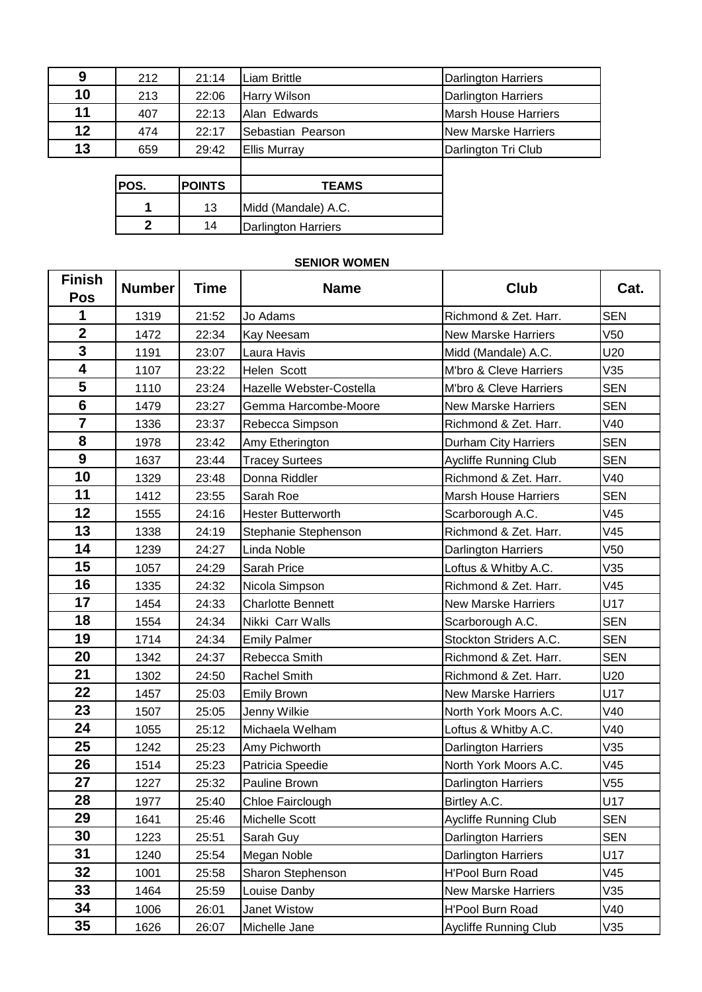| 9  | 212          | 21:14         | Liam Brittle        | <b>Darlington Harriers</b>  |
|----|--------------|---------------|---------------------|-----------------------------|
| 10 | 213          | 22:06         | Harry Wilson        | <b>Darlington Harriers</b>  |
| 11 | 407          | 22:13         | Alan Edwards        | <b>Marsh House Harriers</b> |
| 12 | 474          | 22:17         | Sebastian Pearson   | <b>New Marske Harriers</b>  |
| 13 | 659          | 29:42         | <b>Ellis Murray</b> | Darlington Tri Club         |
|    |              |               |                     |                             |
|    | POS.         | <b>POINTS</b> | <b>TEAMS</b>        |                             |
|    |              | 13            | Midd (Mandale) A.C. |                             |
|    | $\mathbf{2}$ | 14            | Darlington Harriers |                             |

# **SENIOR WOMEN**

| <b>Finish</b><br><b>Pos</b> | <b>Number</b> | <b>Time</b> | <b>Name</b>               | <b>Club</b>                  | Cat.            |
|-----------------------------|---------------|-------------|---------------------------|------------------------------|-----------------|
| 1                           | 1319          | 21:52       | Jo Adams                  | Richmond & Zet. Harr.        | <b>SEN</b>      |
| $\mathbf{2}$                | 1472          | 22:34       | Kay Neesam                | <b>New Marske Harriers</b>   | V <sub>50</sub> |
| $\mathbf{3}$                | 1191          | 23:07       | Laura Havis               | Midd (Mandale) A.C.          | U20             |
| $\overline{\mathbf{4}}$     | 1107          | 23:22       | Helen Scott               | M'bro & Cleve Harriers       | V35             |
| 5                           | 1110          | 23:24       | Hazelle Webster-Costella  | M'bro & Cleve Harriers       | <b>SEN</b>      |
| $6\phantom{1}$              | 1479          | 23:27       | Gemma Harcombe-Moore      | <b>New Marske Harriers</b>   | <b>SEN</b>      |
| $\overline{7}$              | 1336          | 23:37       | Rebecca Simpson           | Richmond & Zet. Harr.        | V40             |
| 8                           | 1978          | 23:42       | Amy Etherington           | Durham City Harriers         | <b>SEN</b>      |
| $\boldsymbol{9}$            | 1637          | 23:44       | <b>Tracey Surtees</b>     | <b>Aycliffe Running Club</b> | <b>SEN</b>      |
| 10                          | 1329          | 23:48       | Donna Riddler             | Richmond & Zet. Harr.        | V40             |
| 11                          | 1412          | 23:55       | Sarah Roe                 | <b>Marsh House Harriers</b>  | <b>SEN</b>      |
| 12                          | 1555          | 24:16       | <b>Hester Butterworth</b> | Scarborough A.C.             | V45             |
| 13                          | 1338          | 24:19       | Stephanie Stephenson      | Richmond & Zet. Harr.        | V45             |
| 14                          | 1239          | 24:27       | Linda Noble               | <b>Darlington Harriers</b>   | V <sub>50</sub> |
| 15                          | 1057          | 24:29       | Sarah Price               | Loftus & Whitby A.C.         | V35             |
| 16                          | 1335          | 24:32       | Nicola Simpson            | Richmond & Zet. Harr.        | V45             |
| 17                          | 1454          | 24:33       | <b>Charlotte Bennett</b>  | New Marske Harriers          | U17             |
| 18                          | 1554          | 24:34       | Nikki Carr Walls          | Scarborough A.C.             | <b>SEN</b>      |
| 19                          | 1714          | 24:34       | <b>Emily Palmer</b>       | Stockton Striders A.C.       | <b>SEN</b>      |
| 20                          | 1342          | 24:37       | Rebecca Smith             | Richmond & Zet. Harr.        | <b>SEN</b>      |
| 21                          | 1302          | 24:50       | <b>Rachel Smith</b>       | Richmond & Zet. Harr.        | U20             |
| 22                          | 1457          | 25:03       | <b>Emily Brown</b>        | <b>New Marske Harriers</b>   | U17             |
| 23                          | 1507          | 25:05       | Jenny Wilkie              | North York Moors A.C.        | V40             |
| 24                          | 1055          | 25:12       | Michaela Welham           | Loftus & Whitby A.C.         | V40             |
| 25                          | 1242          | 25:23       | Amy Pichworth             | Darlington Harriers          | V35             |
| 26                          | 1514          | 25:23       | Patricia Speedie          | North York Moors A.C.        | V45             |
| 27                          | 1227          | 25:32       | Pauline Brown             | Darlington Harriers          | V <sub>55</sub> |
| 28                          | 1977          | 25:40       | Chloe Fairclough          | Birtley A.C.                 | U <sub>17</sub> |
| 29                          | 1641          | 25:46       | Michelle Scott            | Aycliffe Running Club        | <b>SEN</b>      |
| 30                          | 1223          | 25:51       | Sarah Guy                 | Darlington Harriers          | <b>SEN</b>      |
| 31                          | 1240          | 25:54       | Megan Noble               | Darlington Harriers          | U17             |
| 32                          | 1001          | 25:58       | Sharon Stephenson         | H'Pool Burn Road             | V45             |
| 33                          | 1464          | 25:59       | Louise Danby              | <b>New Marske Harriers</b>   | V35             |
| 34                          | 1006          | 26:01       | Janet Wistow              | H'Pool Burn Road             | V40             |
| 35                          | 1626          | 26:07       | Michelle Jane             | <b>Aycliffe Running Club</b> | V35             |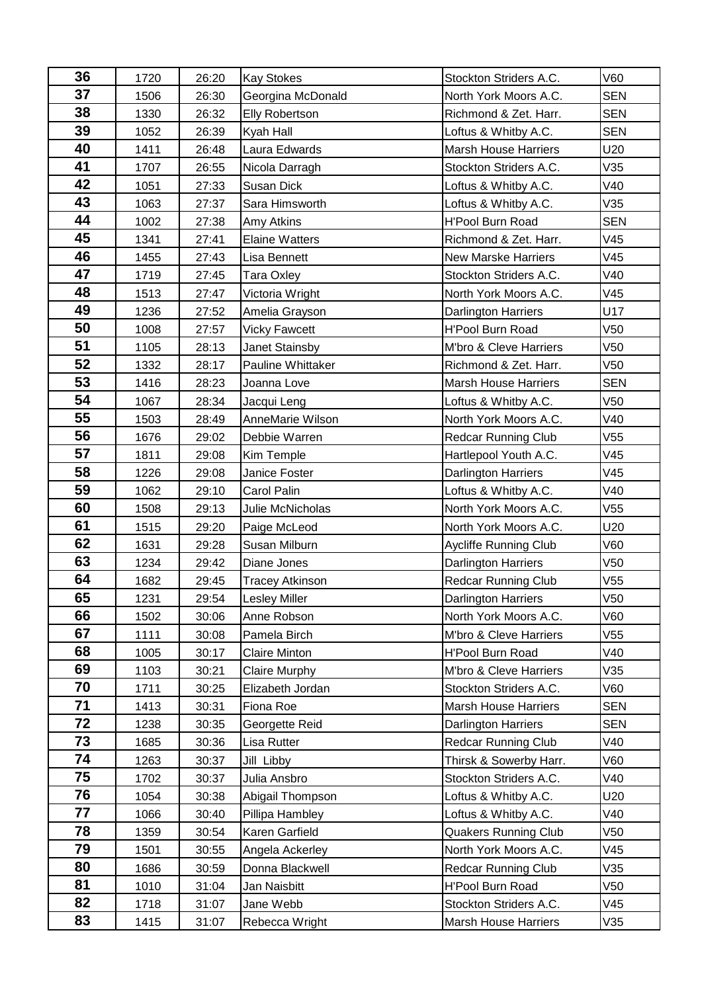| 36 | 1720 | 26:20 | <b>Kay Stokes</b>                         | Stockton Striders A.C.      | V60             |
|----|------|-------|-------------------------------------------|-----------------------------|-----------------|
| 37 | 1506 | 26:30 | Georgina McDonald                         | North York Moors A.C.       | <b>SEN</b>      |
| 38 | 1330 | 26:32 | <b>Elly Robertson</b>                     | Richmond & Zet. Harr.       | <b>SEN</b>      |
| 39 | 1052 | 26:39 | Kyah Hall                                 | Loftus & Whitby A.C.        | <b>SEN</b>      |
| 40 | 1411 | 26:48 | Laura Edwards                             | <b>Marsh House Harriers</b> | U20             |
| 41 | 1707 | 26:55 | Nicola Darragh                            | Stockton Striders A.C.      | V35             |
| 42 | 1051 | 27:33 | Susan Dick                                | Loftus & Whitby A.C.        | V40             |
| 43 | 1063 | 27:37 | Sara Himsworth                            | Loftus & Whitby A.C.        | V35             |
| 44 | 1002 | 27:38 | Amy Atkins                                | H'Pool Burn Road            |                 |
| 45 | 1341 | 27:41 | <b>Elaine Watters</b>                     | Richmond & Zet. Harr.       | V45             |
| 46 | 1455 | 27:43 | Lisa Bennett                              | <b>New Marske Harriers</b>  | V45             |
| 47 | 1719 | 27:45 | Tara Oxley                                | Stockton Striders A.C.      | V40             |
| 48 | 1513 | 27:47 | Victoria Wright                           | North York Moors A.C.       | V45             |
| 49 | 1236 | 27:52 | Amelia Grayson                            | Darlington Harriers         | U17             |
| 50 | 1008 | 27:57 | <b>Vicky Fawcett</b>                      | H'Pool Burn Road            | V <sub>50</sub> |
| 51 | 1105 | 28:13 | Janet Stainsby                            | M'bro & Cleve Harriers      | V <sub>50</sub> |
| 52 | 1332 | 28:17 | Pauline Whittaker                         | Richmond & Zet. Harr.       | V <sub>50</sub> |
| 53 | 1416 | 28:23 | Joanna Love                               | <b>Marsh House Harriers</b> | <b>SEN</b>      |
| 54 | 1067 | 28:34 | Jacqui Leng                               | Loftus & Whitby A.C.        | V <sub>50</sub> |
| 55 | 1503 | 28:49 | AnneMarie Wilson<br>North York Moors A.C. |                             | V40             |
| 56 | 1676 | 29:02 | Debbie Warren                             | Redcar Running Club         | V <sub>55</sub> |
| 57 | 1811 | 29:08 | Kim Temple                                | Hartlepool Youth A.C.       | V45             |
| 58 | 1226 | 29:08 | Janice Foster                             | Darlington Harriers         | V45             |
| 59 | 1062 | 29:10 | Carol Palin                               | Loftus & Whitby A.C.        | V40             |
| 60 | 1508 | 29:13 | Julie McNicholas                          | North York Moors A.C.       | V <sub>55</sub> |
| 61 | 1515 | 29:20 | Paige McLeod                              | North York Moors A.C.       | U20             |
| 62 | 1631 | 29:28 | Susan Milburn                             | Aycliffe Running Club       | V60             |
| 63 | 1234 | 29:42 | Diane Jones                               | <b>Darlington Harriers</b>  | V <sub>50</sub> |
| 64 | 1682 | 29:45 | <b>Tracey Atkinson</b>                    | <b>Redcar Running Club</b>  | V <sub>55</sub> |
| 65 | 1231 | 29:54 | <b>Lesley Miller</b>                      | Darlington Harriers         | V <sub>50</sub> |
| 66 | 1502 | 30:06 | Anne Robson                               | North York Moors A.C.       | V60             |
| 67 | 1111 | 30:08 | Pamela Birch                              | M'bro & Cleve Harriers      | V <sub>55</sub> |
| 68 | 1005 | 30:17 | <b>Claire Minton</b>                      | H'Pool Burn Road            | V40             |
| 69 | 1103 | 30:21 | <b>Claire Murphy</b>                      | M'bro & Cleve Harriers      | V35             |
| 70 | 1711 | 30:25 | Elizabeth Jordan                          | Stockton Striders A.C.      | V60             |
| 71 | 1413 | 30:31 | Fiona Roe                                 | <b>Marsh House Harriers</b> | <b>SEN</b>      |
| 72 | 1238 | 30:35 | Georgette Reid                            | Darlington Harriers         | <b>SEN</b>      |
| 73 | 1685 | 30:36 | Lisa Rutter                               | <b>Redcar Running Club</b>  | V40             |
| 74 | 1263 | 30:37 | Jill Libby                                | Thirsk & Sowerby Harr.      | V60             |
| 75 | 1702 | 30:37 | Julia Ansbro                              | Stockton Striders A.C.      | V40             |
| 76 | 1054 | 30:38 | Abigail Thompson                          | Loftus & Whitby A.C.        | U20             |
| 77 | 1066 | 30:40 | Pillipa Hambley                           | Loftus & Whitby A.C.        | V40             |
| 78 | 1359 | 30:54 | Karen Garfield                            | <b>Quakers Running Club</b> | V <sub>50</sub> |
| 79 | 1501 | 30:55 | Angela Ackerley                           | North York Moors A.C.       | V45             |
| 80 | 1686 | 30:59 | Donna Blackwell                           | <b>Redcar Running Club</b>  | V35             |
| 81 | 1010 | 31:04 | Jan Naisbitt                              | H'Pool Burn Road            | V50             |
| 82 | 1718 | 31:07 | Jane Webb                                 | Stockton Striders A.C.      | V45             |
| 83 | 1415 | 31:07 | Rebecca Wright                            | <b>Marsh House Harriers</b> | V35             |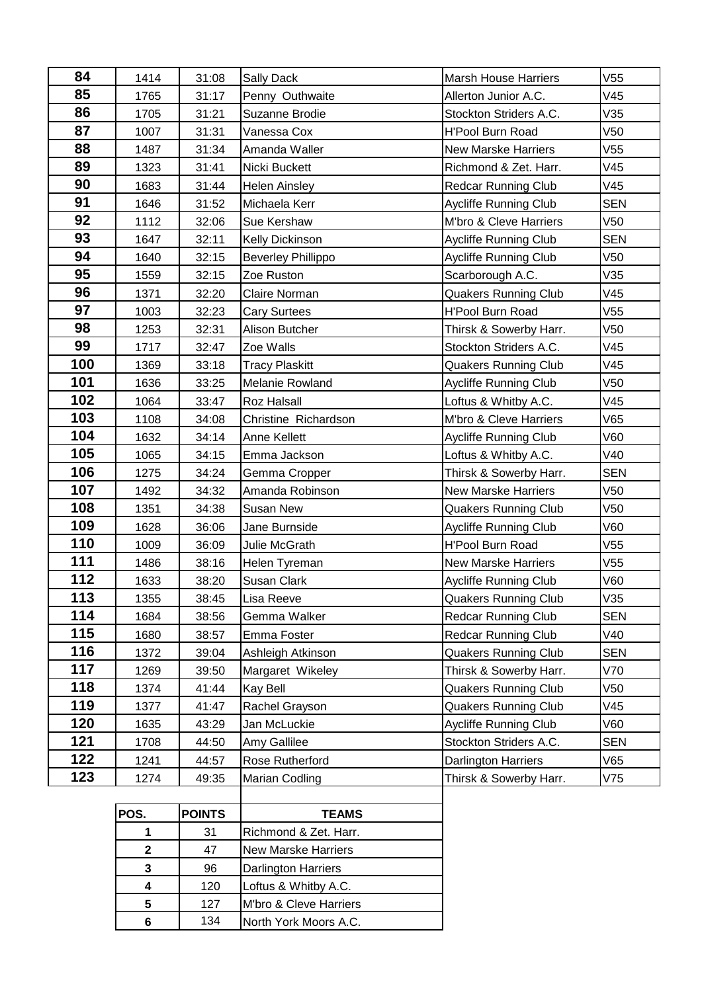| 84  | 1414         | 31:08         | <b>Sally Dack</b>                               | <b>Marsh House Harriers</b>  | V <sub>55</sub> |
|-----|--------------|---------------|-------------------------------------------------|------------------------------|-----------------|
| 85  | 1765         | 31:17         | Penny Outhwaite                                 | Allerton Junior A.C.         | V45             |
| 86  | 1705         | 31:21         | Suzanne Brodie                                  | Stockton Striders A.C.       | V35             |
| 87  | 1007         | 31:31         | Vanessa Cox                                     | <b>H'Pool Burn Road</b>      | V50             |
| 88  | 1487         | 31:34         | Amanda Waller                                   | <b>New Marske Harriers</b>   | V <sub>55</sub> |
| 89  | 1323         | 31:41         | Nicki Buckett                                   | Richmond & Zet. Harr.        | V45             |
| 90  | 1683         | 31:44         | <b>Helen Ainsley</b>                            | <b>Redcar Running Club</b>   | V45             |
| 91  | 1646         | 31:52         | Michaela Kerr                                   | <b>Aycliffe Running Club</b> | <b>SEN</b>      |
| 92  | 1112         | 32:06         | Sue Kershaw                                     | M'bro & Cleve Harriers       | V50             |
| 93  | 1647         | 32:11         | Kelly Dickinson                                 | <b>Aycliffe Running Club</b> | <b>SEN</b>      |
| 94  | 1640         | 32:15         | <b>Beverley Phillippo</b>                       | <b>Aycliffe Running Club</b> | V50             |
| 95  | 1559         | 32:15         | Zoe Ruston                                      | Scarborough A.C.             | V35             |
| 96  | 1371         | 32:20         | Claire Norman                                   | <b>Quakers Running Club</b>  | V45             |
| 97  | 1003         | 32:23         | <b>Cary Surtees</b>                             | <b>H'Pool Burn Road</b>      | V <sub>55</sub> |
| 98  | 1253         | 32:31         | Alison Butcher                                  | Thirsk & Sowerby Harr.       | V50             |
| 99  | 1717         | 32:47         | Zoe Walls                                       | Stockton Striders A.C.       | V45             |
| 100 | 1369         | 33:18         | <b>Tracy Plaskitt</b>                           | <b>Quakers Running Club</b>  | V45             |
| 101 | 1636         | 33:25         | Melanie Rowland                                 | Aycliffe Running Club        | V50             |
| 102 | 1064         | 33:47         | <b>Roz Halsall</b>                              | Loftus & Whitby A.C.         | V45             |
| 103 | 1108         | 34:08         | Christine Richardson                            | M'bro & Cleve Harriers       | V65             |
| 104 | 1632         | 34:14         | Anne Kellett                                    | Aycliffe Running Club        | V60             |
| 105 | 1065         | 34:15         | Emma Jackson                                    | Loftus & Whitby A.C.         | V40             |
| 106 | 1275         | 34:24         | Gemma Cropper                                   | Thirsk & Sowerby Harr.       | <b>SEN</b>      |
| 107 | 1492         | 34:32         | <b>New Marske Harriers</b><br>Amanda Robinson   |                              | V50             |
| 108 | 1351         | 34:38         | <b>Susan New</b><br><b>Quakers Running Club</b> |                              | V <sub>50</sub> |
| 109 | 1628         | 36:06         | Jane Burnside                                   | Aycliffe Running Club        | V60             |
| 110 | 1009         | 36:09         | Julie McGrath                                   | H'Pool Burn Road             | V <sub>55</sub> |
| 111 | 1486         | 38:16         | Helen Tyreman                                   | <b>New Marske Harriers</b>   | V <sub>55</sub> |
| 112 | 1633         | 38:20         | Susan Clark                                     | Aycliffe Running Club        | V60             |
| 113 | 1355         | 38:45         | Lisa Reeve                                      | <b>Quakers Running Club</b>  | V35             |
| 114 | 1684         | 38:56         | Gemma Walker                                    | <b>Redcar Running Club</b>   | <b>SEN</b>      |
| 115 | 1680         | 38:57         | Emma Foster                                     | <b>Redcar Running Club</b>   | V40             |
| 116 | 1372         | 39:04         | Ashleigh Atkinson                               | <b>Quakers Running Club</b>  | <b>SEN</b>      |
| 117 | 1269         | 39:50         | Margaret Wikeley                                | Thirsk & Sowerby Harr.       | V70             |
| 118 | 1374         | 41:44         | Kay Bell                                        | <b>Quakers Running Club</b>  | V50             |
| 119 | 1377         | 41:47         | Rachel Grayson                                  | <b>Quakers Running Club</b>  | V45             |
| 120 | 1635         | 43:29         | Jan McLuckie                                    | <b>Aycliffe Running Club</b> | V60             |
| 121 | 1708         | 44:50         | Amy Gallilee                                    | Stockton Striders A.C.       | <b>SEN</b>      |
| 122 | 1241         | 44:57         | Rose Rutherford                                 | <b>Darlington Harriers</b>   | V65             |
| 123 | 1274         | 49:35         | Marian Codling                                  | Thirsk & Sowerby Harr.       | V75             |
|     |              |               |                                                 |                              |                 |
|     | POS.         | <b>POINTS</b> | <b>TEAMS</b>                                    |                              |                 |
|     | 1            | 31            | Richmond & Zet. Harr.                           |                              |                 |
|     | $\mathbf{2}$ | 47            | <b>New Marske Harriers</b>                      |                              |                 |
|     | $\mathbf 3$  | 96            | Darlington Harriers                             |                              |                 |
|     | 4            | 120           | Loftus & Whitby A.C.                            |                              |                 |

 127 M'bro & Cleve Harriers 134 North York Moors A.C.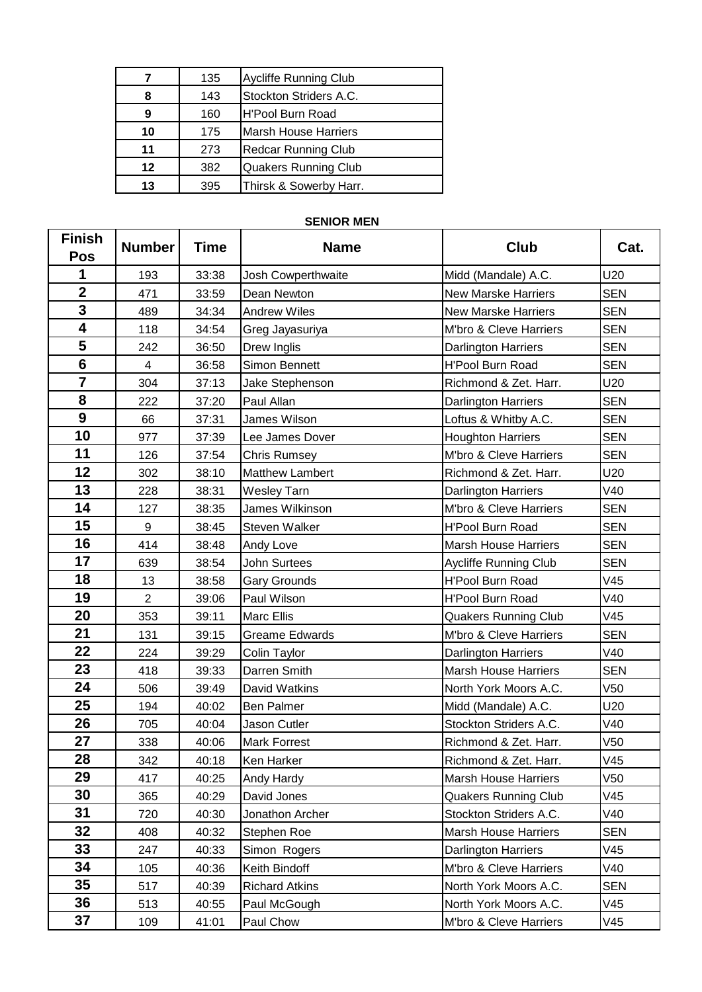|    | 135 | Aycliffe Running Club      |
|----|-----|----------------------------|
| 8  | 143 | Stockton Striders A.C.     |
| 9  | 160 | H'Pool Burn Road           |
| 10 | 175 | Marsh House Harriers       |
| 11 | 273 | <b>Redcar Running Club</b> |
| 12 | 382 | Quakers Running Club       |
| 13 | 395 | Thirsk & Sowerby Harr.     |

## **SENIOR MEN**

| <b>Finish</b><br><b>Pos</b> | <b>Number</b>    | <b>Time</b> | <b>Name</b>            | <b>Club</b>                  | Cat.            |
|-----------------------------|------------------|-------------|------------------------|------------------------------|-----------------|
| 1                           | 193              | 33:38       | Josh Cowperthwaite     | Midd (Mandale) A.C.          | U20             |
| $\mathbf{2}$                | 471              | 33:59       | Dean Newton            | New Marske Harriers          | <b>SEN</b>      |
| $\overline{\mathbf{3}}$     | 489              | 34:34       | <b>Andrew Wiles</b>    | <b>New Marske Harriers</b>   | <b>SEN</b>      |
| 4                           | 118              | 34:54       | Greg Jayasuriya        | M'bro & Cleve Harriers       | <b>SEN</b>      |
| 5                           | 242              | 36:50       | Drew Inglis            | Darlington Harriers          | <b>SEN</b>      |
| $6\phantom{1}$              | 4                | 36:58       | Simon Bennett          | <b>H'Pool Burn Road</b>      | <b>SEN</b>      |
| $\overline{7}$              | 304              | 37:13       | Jake Stephenson        | Richmond & Zet. Harr.        | U20             |
| 8                           | 222              | 37:20       | Paul Allan             | Darlington Harriers          | <b>SEN</b>      |
| $\overline{9}$              | 66               | 37:31       | James Wilson           | Loftus & Whitby A.C.         | <b>SEN</b>      |
| 10                          | 977              | 37:39       | Lee James Dover        | <b>Houghton Harriers</b>     | <b>SEN</b>      |
| 11                          | 126              | 37:54       | <b>Chris Rumsey</b>    | M'bro & Cleve Harriers       | <b>SEN</b>      |
| 12                          | 302              | 38:10       | <b>Matthew Lambert</b> | Richmond & Zet. Harr.        | U20             |
| 13                          | 228              | 38:31       | <b>Wesley Tarn</b>     | Darlington Harriers          | V40             |
| 14                          | 127              | 38:35       | James Wilkinson        | M'bro & Cleve Harriers       | <b>SEN</b>      |
| 15                          | $\boldsymbol{9}$ | 38:45       | Steven Walker          | H'Pool Burn Road             | <b>SEN</b>      |
| 16                          | 414              | 38:48       | Andy Love              | <b>Marsh House Harriers</b>  | <b>SEN</b>      |
| 17                          | 639              | 38:54       | John Surtees           | <b>Aycliffe Running Club</b> | <b>SEN</b>      |
| 18                          | 13               | 38:58       | <b>Gary Grounds</b>    | <b>H'Pool Burn Road</b>      | V45             |
| 19                          | $\overline{2}$   | 39:06       | Paul Wilson            | <b>H'Pool Burn Road</b>      | V40             |
| 20                          | 353              | 39:11       | <b>Marc Ellis</b>      | <b>Quakers Running Club</b>  | V45             |
| 21                          | 131              | 39:15       | <b>Greame Edwards</b>  | M'bro & Cleve Harriers       | <b>SEN</b>      |
| 22                          | 224              | 39:29       | Colin Taylor           | Darlington Harriers          | V40             |
| 23                          | 418              | 39:33       | Darren Smith           | <b>Marsh House Harriers</b>  | <b>SEN</b>      |
| 24                          | 506              | 39:49       | David Watkins          | North York Moors A.C.        | V50             |
| 25                          | 194              | 40:02       | Ben Palmer             | Midd (Mandale) A.C.          | U20             |
| 26                          | 705              | 40:04       | Jason Cutler           | Stockton Striders A.C.       | V40             |
| 27                          | 338              | 40:06       | <b>Mark Forrest</b>    | Richmond & Zet. Harr.        | V <sub>50</sub> |
| 28                          | 342              | 40:18       | Ken Harker             | Richmond & Zet. Harr.        | V45             |
| 29                          | 417              | 40:25       | Andy Hardy             | <b>Marsh House Harriers</b>  | V <sub>50</sub> |
| 30                          | 365              | 40:29       | David Jones            | <b>Quakers Running Club</b>  | V45             |
| 31                          | 720              | 40:30       | Jonathon Archer        | Stockton Striders A.C.       | V40             |
| 32                          | 408              | 40:32       | Stephen Roe            | <b>Marsh House Harriers</b>  | <b>SEN</b>      |
| 33                          | 247              | 40:33       | Simon Rogers           | <b>Darlington Harriers</b>   | V45             |
| 34                          | 105              | 40:36       | Keith Bindoff          | M'bro & Cleve Harriers       | V40             |
| 35                          | 517              | 40:39       | <b>Richard Atkins</b>  | North York Moors A.C.        | <b>SEN</b>      |
| 36                          | 513              | 40:55       | Paul McGough           | North York Moors A.C.        | V45             |
| 37                          | 109              | 41:01       | Paul Chow              | M'bro & Cleve Harriers       | V45             |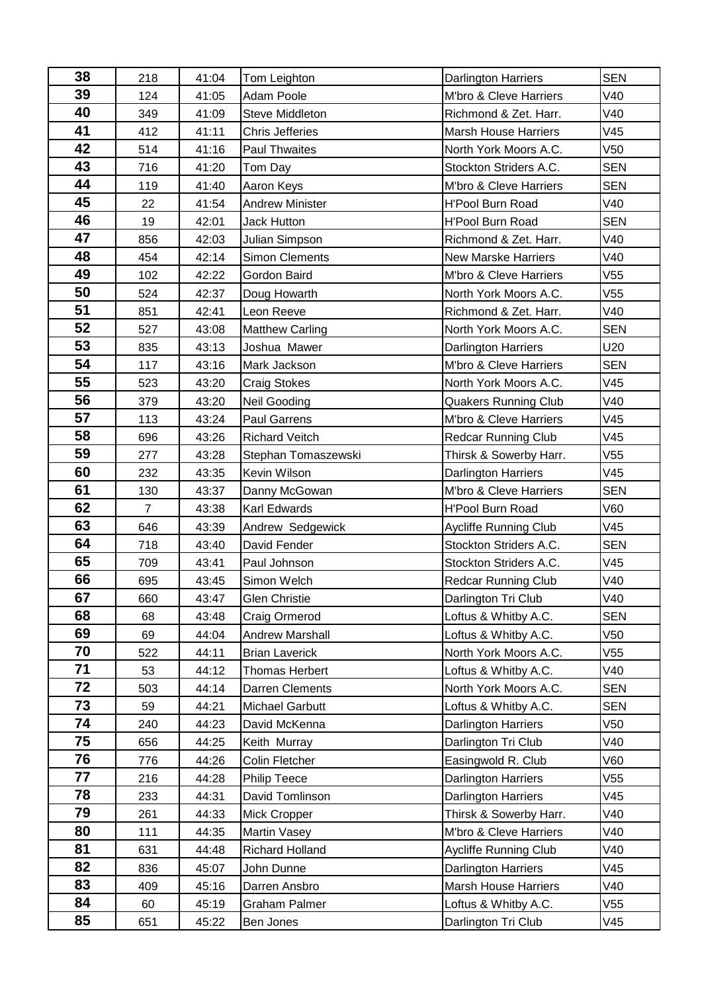| 38 | 218            | 41:04 | Tom Leighton           | <b>Darlington Harriers</b>   | <b>SEN</b>      |
|----|----------------|-------|------------------------|------------------------------|-----------------|
| 39 | 124            | 41:05 | Adam Poole             | M'bro & Cleve Harriers       | V40             |
| 40 | 349            | 41:09 | Steve Middleton        | Richmond & Zet. Harr.        | V40             |
| 41 | 412            | 41:11 | <b>Chris Jefferies</b> | <b>Marsh House Harriers</b>  | V45             |
| 42 | 514            | 41:16 | Paul Thwaites          | North York Moors A.C.        | V50             |
| 43 | 716            | 41:20 | Tom Day                | Stockton Striders A.C.       | <b>SEN</b>      |
| 44 | 119            | 41:40 | Aaron Keys             | M'bro & Cleve Harriers       | <b>SEN</b>      |
| 45 | 22             | 41:54 | <b>Andrew Minister</b> | H'Pool Burn Road             | V40             |
| 46 | 19             | 42:01 | <b>Jack Hutton</b>     | H'Pool Burn Road             | <b>SEN</b>      |
| 47 | 856            | 42:03 | Julian Simpson         | Richmond & Zet. Harr.        | V40             |
| 48 | 454            | 42:14 | <b>Simon Clements</b>  | <b>New Marske Harriers</b>   | V40             |
| 49 | 102            | 42:22 | Gordon Baird           | M'bro & Cleve Harriers       | V55             |
| 50 | 524            | 42:37 | Doug Howarth           | North York Moors A.C.        | V55             |
| 51 | 851            | 42:41 | Leon Reeve             | Richmond & Zet. Harr.        | V40             |
| 52 | 527            | 43:08 | <b>Matthew Carling</b> | North York Moors A.C.        | <b>SEN</b>      |
| 53 | 835            | 43:13 | Joshua Mawer           | <b>Darlington Harriers</b>   | U20             |
| 54 | 117            | 43:16 | Mark Jackson           | M'bro & Cleve Harriers       | <b>SEN</b>      |
| 55 | 523            | 43:20 | <b>Craig Stokes</b>    | North York Moors A.C.        | V45             |
| 56 | 379            | 43:20 | Neil Gooding           | <b>Quakers Running Club</b>  | V40             |
| 57 | 113            | 43:24 | Paul Garrens           | M'bro & Cleve Harriers       | V45             |
| 58 | 696            | 43:26 | <b>Richard Veitch</b>  | <b>Redcar Running Club</b>   | V45             |
| 59 | 277            | 43:28 | Stephan Tomaszewski    | Thirsk & Sowerby Harr.       | V <sub>55</sub> |
| 60 | 232            | 43:35 | Kevin Wilson           | Darlington Harriers          | V45             |
| 61 | 130            | 43:37 | Danny McGowan          | M'bro & Cleve Harriers       | <b>SEN</b>      |
| 62 | $\overline{7}$ | 43:38 | <b>Karl Edwards</b>    | <b>H'Pool Burn Road</b>      | <b>V60</b>      |
| 63 | 646            | 43:39 | Andrew Sedgewick       | <b>Aycliffe Running Club</b> | V45             |
| 64 | 718            | 43:40 | David Fender           | Stockton Striders A.C.       | <b>SEN</b>      |
| 65 | 709            | 43:41 | Paul Johnson           | Stockton Striders A.C.       | V45             |
| 66 | 695            | 43:45 | Simon Welch            | <b>Redcar Running Club</b>   | V40             |
| 67 | 660            | 43:47 | Glen Christie          | Darlington Tri Club          | V40             |
| 68 | 68             | 43:48 | Craig Ormerod          | Loftus & Whitby A.C.         | <b>SEN</b>      |
| 69 | 69             | 44:04 | <b>Andrew Marshall</b> | Loftus & Whitby A.C.         | V <sub>50</sub> |
| 70 | 522            | 44:11 | <b>Brian Laverick</b>  | North York Moors A.C.        | V <sub>55</sub> |
| 71 | 53             | 44:12 | Thomas Herbert         | Loftus & Whitby A.C.         | V40             |
| 72 | 503            | 44:14 | Darren Clements        | North York Moors A.C.        | <b>SEN</b>      |
| 73 | 59             | 44:21 | <b>Michael Garbutt</b> | Loftus & Whitby A.C.         | <b>SEN</b>      |
| 74 | 240            | 44:23 | David McKenna          | <b>Darlington Harriers</b>   | V50             |
| 75 | 656            | 44:25 | Keith Murray           | Darlington Tri Club          | V40             |
| 76 | 776            | 44:26 | Colin Fletcher         | Easingwold R. Club           | <b>V60</b>      |
| 77 | 216            | 44:28 | <b>Philip Teece</b>    | Darlington Harriers          | V55             |
| 78 | 233            | 44:31 | David Tomlinson        | Darlington Harriers          | V45             |
| 79 | 261            | 44:33 | Mick Cropper           | Thirsk & Sowerby Harr.       | V40             |
| 80 | 111            | 44:35 | Martin Vasey           | M'bro & Cleve Harriers       | V40             |
| 81 | 631            | 44:48 | Richard Holland        | Aycliffe Running Club        | V40             |
| 82 | 836            | 45:07 | John Dunne             | Darlington Harriers          | V45             |
| 83 | 409            | 45:16 | Darren Ansbro          | <b>Marsh House Harriers</b>  | V40             |
| 84 | 60             | 45:19 | Graham Palmer          | Loftus & Whitby A.C.         | V55             |
| 85 | 651            | 45:22 | Ben Jones              | Darlington Tri Club          | V45             |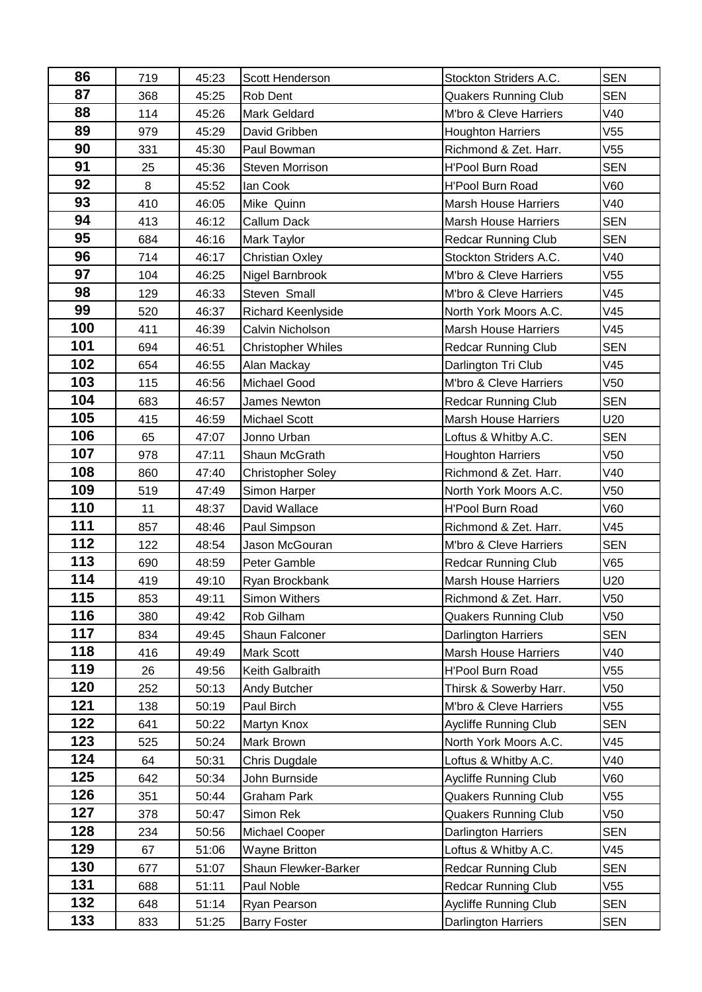| 86  | 719 | 45:23 | Scott Henderson           | Stockton Striders A.C.      | <b>SEN</b>      |
|-----|-----|-------|---------------------------|-----------------------------|-----------------|
| 87  | 368 | 45:25 | Rob Dent                  | <b>Quakers Running Club</b> | <b>SEN</b>      |
| 88  | 114 | 45:26 | <b>Mark Geldard</b>       | M'bro & Cleve Harriers      | V40             |
| 89  | 979 | 45:29 | David Gribben             | <b>Houghton Harriers</b>    | V55             |
| 90  | 331 | 45:30 | Paul Bowman               | Richmond & Zet. Harr.       | V <sub>55</sub> |
| 91  | 25  | 45:36 | <b>Steven Morrison</b>    | H'Pool Burn Road            | <b>SEN</b>      |
| 92  | 8   | 45:52 | lan Cook                  | <b>H'Pool Burn Road</b>     | <b>V60</b>      |
| 93  | 410 | 46:05 | Mike Quinn                | <b>Marsh House Harriers</b> | V40             |
| 94  | 413 | 46:12 | Callum Dack               | <b>Marsh House Harriers</b> |                 |
| 95  | 684 | 46:16 | <b>Mark Taylor</b>        | <b>Redcar Running Club</b>  | <b>SEN</b>      |
| 96  | 714 | 46:17 | <b>Christian Oxley</b>    | Stockton Striders A.C.      | V40             |
| 97  | 104 | 46:25 | Nigel Barnbrook           | M'bro & Cleve Harriers      | V55             |
| 98  | 129 | 46:33 | Steven Small              | M'bro & Cleve Harriers      | V45             |
| 99  | 520 | 46:37 | Richard Keenlyside        | North York Moors A.C.       | V45             |
| 100 | 411 | 46:39 | Calvin Nicholson          | <b>Marsh House Harriers</b> | V45             |
| 101 | 694 | 46:51 | <b>Christopher Whiles</b> | <b>Redcar Running Club</b>  | <b>SEN</b>      |
| 102 | 654 | 46:55 | Alan Mackay               | Darlington Tri Club         | V45             |
| 103 | 115 | 46:56 | <b>Michael Good</b>       | M'bro & Cleve Harriers      | V <sub>50</sub> |
| 104 | 683 | 46:57 | James Newton              | <b>Redcar Running Club</b>  | <b>SEN</b>      |
| 105 | 415 | 46:59 | <b>Michael Scott</b>      | <b>Marsh House Harriers</b> | U20             |
| 106 | 65  | 47:07 | Jonno Urban               | Loftus & Whitby A.C.        | <b>SEN</b>      |
| 107 | 978 | 47:11 | Shaun McGrath             | <b>Houghton Harriers</b>    | V <sub>50</sub> |
| 108 | 860 | 47:40 | <b>Christopher Soley</b>  | Richmond & Zet. Harr.       | V40             |
| 109 | 519 | 47:49 | Simon Harper              | North York Moors A.C.       | V <sub>50</sub> |
| 110 | 11  | 48:37 | David Wallace             | H'Pool Burn Road            | V60             |
| 111 | 857 | 48:46 | Paul Simpson              | Richmond & Zet. Harr.       | V45             |
| 112 | 122 | 48:54 | Jason McGouran            | M'bro & Cleve Harriers      | <b>SEN</b>      |
| 113 | 690 | 48:59 | Peter Gamble              | <b>Redcar Running Club</b>  | V65             |
| 114 | 419 | 49:10 | Ryan Brockbank            | <b>Marsh House Harriers</b> | U20             |
| 115 | 853 | 49:11 | Simon Withers             | Richmond & Zet. Harr.       | V <sub>50</sub> |
| 116 | 380 | 49:42 | Rob Gilham                | <b>Quakers Running Club</b> | V <sub>50</sub> |
| 117 | 834 | 49:45 | Shaun Falconer            | Darlington Harriers         | <b>SEN</b>      |
| 118 | 416 | 49:49 | <b>Mark Scott</b>         | <b>Marsh House Harriers</b> | V40             |
| 119 | 26  | 49:56 | Keith Galbraith           | H'Pool Burn Road            | V55             |
| 120 | 252 | 50:13 | Andy Butcher              | Thirsk & Sowerby Harr.      | V50             |
| 121 | 138 | 50:19 | Paul Birch                | M'bro & Cleve Harriers      | V55             |
| 122 | 641 | 50:22 | Martyn Knox               | Aycliffe Running Club       | <b>SEN</b>      |
| 123 | 525 | 50:24 | Mark Brown                | North York Moors A.C.       | V45             |
| 124 | 64  | 50:31 | Chris Dugdale             | Loftus & Whitby A.C.        | V40             |
| 125 | 642 | 50:34 | John Burnside             | Aycliffe Running Club       | V60             |
| 126 | 351 | 50:44 | Graham Park               | <b>Quakers Running Club</b> | V55             |
| 127 | 378 | 50:47 | Simon Rek                 | <b>Quakers Running Club</b> | V50             |
| 128 | 234 | 50:56 | Michael Cooper            | Darlington Harriers         | <b>SEN</b>      |
| 129 | 67  | 51:06 | <b>Wayne Britton</b>      | Loftus & Whitby A.C.        | V45             |
| 130 | 677 | 51:07 | Shaun Flewker-Barker      | <b>Redcar Running Club</b>  | <b>SEN</b>      |
| 131 | 688 | 51:11 | Paul Noble                | <b>Redcar Running Club</b>  | V <sub>55</sub> |
| 132 | 648 | 51:14 | Ryan Pearson              | Aycliffe Running Club       | <b>SEN</b>      |
| 133 | 833 | 51:25 | <b>Barry Foster</b>       | Darlington Harriers         | <b>SEN</b>      |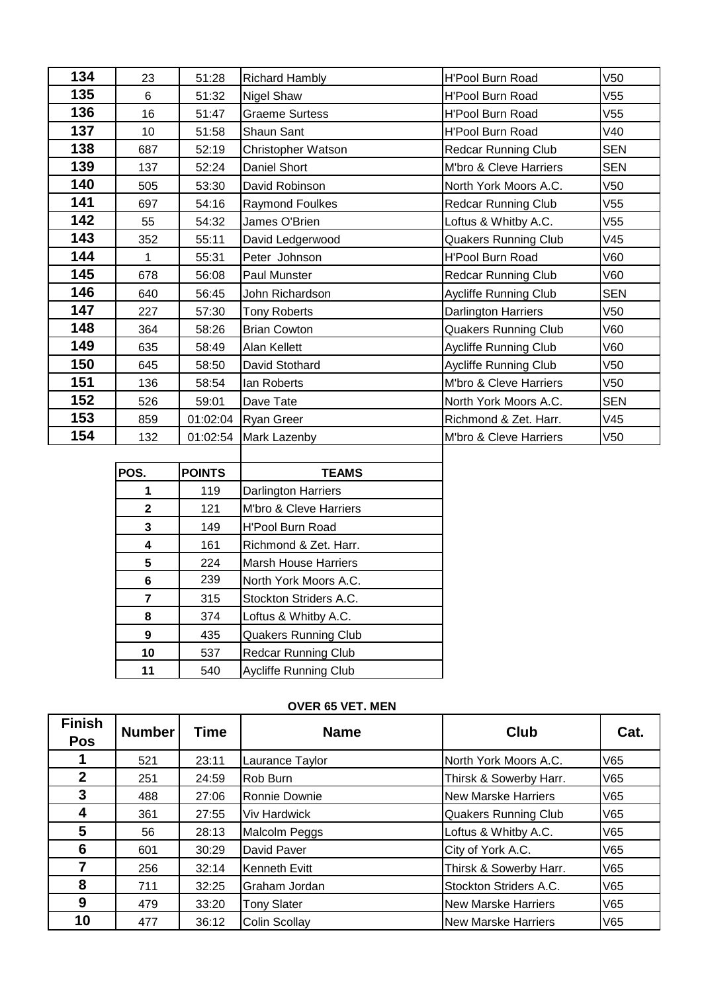| 134 | 23  | 51:28    | <b>Richard Hambly</b>  | <b>H'Pool Burn Road</b>      | V <sub>50</sub> |
|-----|-----|----------|------------------------|------------------------------|-----------------|
| 135 | 6   | 51:32    | Nigel Shaw             | <b>H'Pool Burn Road</b>      | V <sub>55</sub> |
| 136 | 16  | 51:47    | <b>Graeme Surtess</b>  | <b>H'Pool Burn Road</b>      | V55             |
| 137 | 10  | 51:58    | Shaun Sant             | <b>H'Pool Burn Road</b>      | V40             |
| 138 | 687 | 52:19    | Christopher Watson     | <b>Redcar Running Club</b>   | <b>SEN</b>      |
| 139 | 137 | 52:24    | Daniel Short           | M'bro & Cleve Harriers       | <b>SEN</b>      |
| 140 | 505 | 53:30    | David Robinson         | North York Moors A.C.        | V <sub>50</sub> |
| 141 | 697 | 54:16    | <b>Raymond Foulkes</b> | <b>Redcar Running Club</b>   | V <sub>55</sub> |
| 142 | 55  | 54:32    | James O'Brien          | Loftus & Whitby A.C.         | V <sub>55</sub> |
| 143 | 352 | 55:11    | David Ledgerwood       | <b>Quakers Running Club</b>  | V45             |
| 144 | 1   | 55:31    | Peter Johnson          | <b>H'Pool Burn Road</b>      | V60             |
| 145 | 678 | 56:08    | Paul Munster           | <b>Redcar Running Club</b>   | V60             |
| 146 | 640 | 56:45    | John Richardson        | Aycliffe Running Club        | <b>SEN</b>      |
| 147 | 227 | 57:30    | <b>Tony Roberts</b>    | Darlington Harriers          | V50             |
| 148 | 364 | 58:26    | <b>Brian Cowton</b>    | <b>Quakers Running Club</b>  | V60             |
| 149 | 635 | 58:49    | Alan Kellett           | <b>Aycliffe Running Club</b> | V60             |
| 150 | 645 | 58:50    | David Stothard         | <b>Aycliffe Running Club</b> | V <sub>50</sub> |
| 151 | 136 | 58:54    | lan Roberts            | M'bro & Cleve Harriers       | V <sub>50</sub> |
| 152 | 526 | 59:01    | Dave Tate              | North York Moors A.C.        | <b>SEN</b>      |
| 153 | 859 | 01:02:04 | <b>Ryan Greer</b>      | Richmond & Zet. Harr.        | V45             |
| 154 | 132 |          | 01:02:54 Mark Lazenby  | M'bro & Cleve Harriers       | V <sub>50</sub> |

| POS.         | <b>POINTS</b> | <b>TEAMS</b>                 |
|--------------|---------------|------------------------------|
| 1            | 119           | <b>Darlington Harriers</b>   |
| $\mathbf{2}$ | 121           | M'bro & Cleve Harriers       |
| 3            | 149           | <b>H'Pool Burn Road</b>      |
| 4            | 161           | Richmond & Zet. Harr.        |
| 5            | 224           | <b>Marsh House Harriers</b>  |
| 6            | 239           | North York Moors A.C.        |
| 7            | 315           | Stockton Striders A.C.       |
| 8            | 374           | Loftus & Whitby A.C.         |
| 9            | 435           | <b>Quakers Running Club</b>  |
| 10           | 537           | <b>Redcar Running Club</b>   |
| 11           | 540           | <b>Aycliffe Running Club</b> |

# **OVER 65 VET. MEN**

| <b>Finish</b><br>Pos | <b>Number</b> | Time  | <b>Name</b>          | Club                        | Cat. |
|----------------------|---------------|-------|----------------------|-----------------------------|------|
|                      | 521           | 23:11 | Laurance Taylor      | North York Moors A.C.       | V65  |
| $\mathbf{2}$         | 251           | 24:59 | Rob Burn             | Thirsk & Sowerby Harr.      | V65  |
| 3                    | 488           | 27:06 | Ronnie Downie        | <b>New Marske Harriers</b>  | V65  |
| 4                    | 361           | 27:55 | Viv Hardwick         | <b>Quakers Running Club</b> | V65  |
| 5                    | 56            | 28:13 | Malcolm Peggs        | Loftus & Whitby A.C.        | V65  |
| 6                    | 601           | 30:29 | David Paver          | City of York A.C.           | V65  |
| 7                    | 256           | 32:14 | Kenneth Evitt        | Thirsk & Sowerby Harr.      | V65  |
| 8                    | 711           | 32:25 | Graham Jordan        | Stockton Striders A.C.      | V65  |
| 9                    | 479           | 33:20 | <b>Tony Slater</b>   | <b>New Marske Harriers</b>  | V65  |
| 10                   | 477           | 36:12 | <b>Colin Scollay</b> | <b>New Marske Harriers</b>  | V65  |